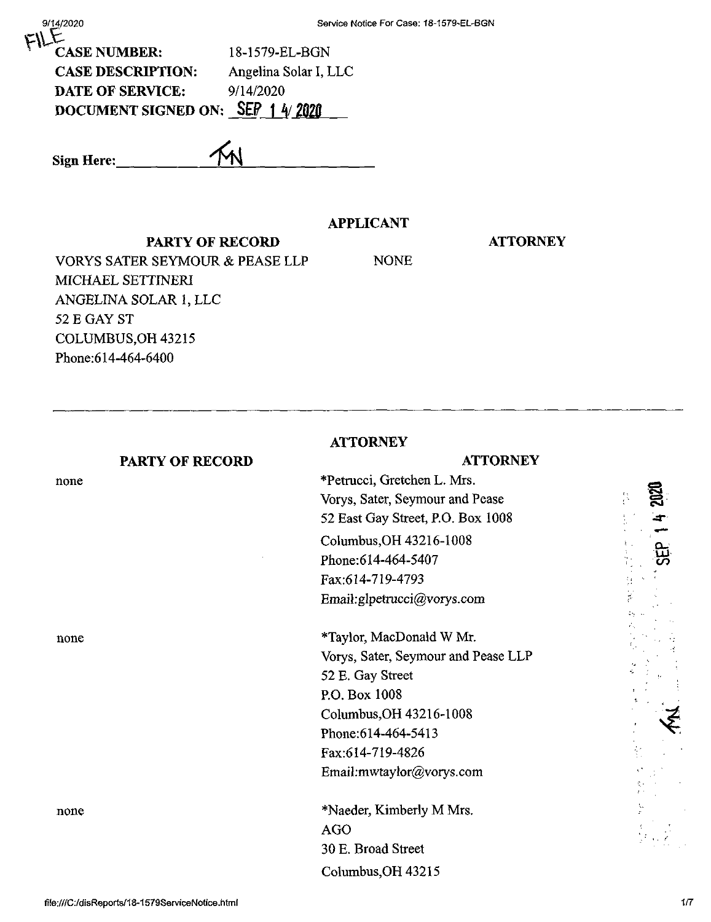| 9/14/2020                  | Service Notice For Case: 18-1579-EL-BGN |
|----------------------------|-----------------------------------------|
| <b>CASE NUMBER:</b>        | 18-1579-EL-BGN                          |
| <b>CASE DESCRIPTION:</b>   | Angelina Solar I, LLC                   |
| <b>DATE OF SERVICE:</b>    | 9/14/2020                               |
| <b>DOCUMENT SIGNED ON:</b> | <b>SEP</b>                              |
|                            |                                         |
|                            |                                         |

**Sign Here:\_**

# **APPLICANT**

#### **PARTY OF RECORD**

**ATTORNEY**

VORYS SATER SEYMOUR & PEASE LLP MICHAEL SETTINERI ANGELINA SOLAR 1, LLC 52 E GAY ST COLUMBUS,OH 43215 Phone:614-464-6400

NONE

**ATTORNEY**

# none

**PARTY OF RECORD**

# **ATTORNEY**

\*Petrucci, Gretchen L. Mrs. Vorys, Sater, Seymour and Pease 52 East Gay Street, P.O. Box 1008 Columbus,OH 43216-1008 Phone:614-464-5407 Fax:614-719-4793 Email:glpetrucci@vorys.com

none \*Taylor, MacDonald W Mr. Vorys, Sater, Seymour and Pease LLP 52 E. Gay Street P.O. Box 1008 Columbus,OH 43216-1008 Phone:614-464-5413 Fax:614-719-4826 Email:mwtaylor@vorys.com

none \*Naeder, Kimberly M Mrs. AGO 30 E. Broad Street Columbus,OH 43215

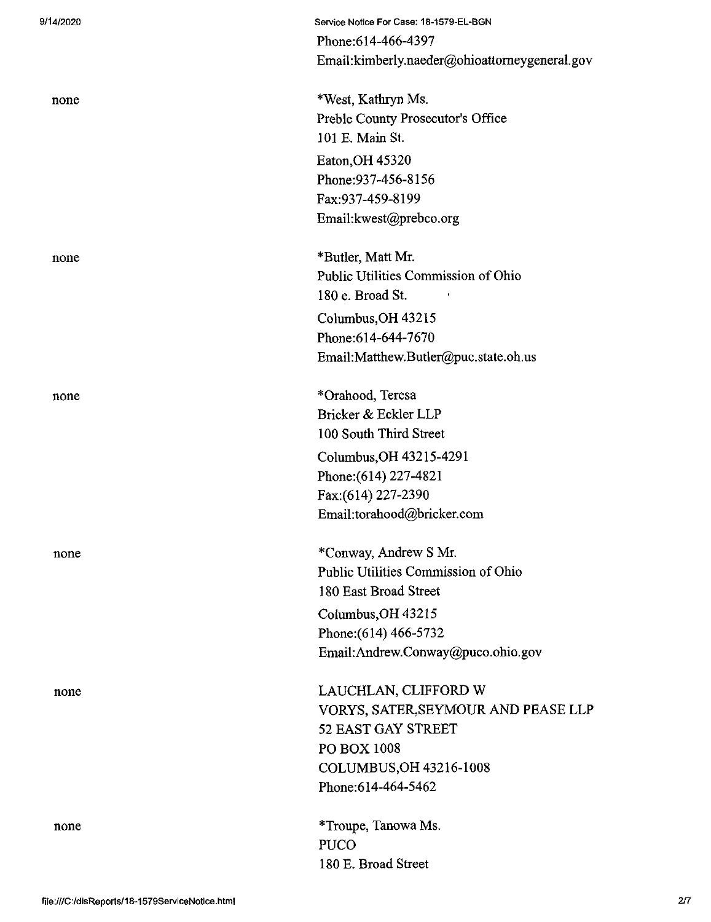| 9/14/2020 | Service Notice For Case: 18-1579-EL-BGN       |
|-----------|-----------------------------------------------|
|           | Phone: 614-466-4397                           |
|           | Email:kimberly.naeder@ohioattorneygeneral.gov |
| none      | *West, Kathryn Ms.                            |
|           | Preble County Prosecutor's Office             |
|           | 101 E. Main St.                               |
|           | Eaton, OH 45320                               |
|           | Phone: 937-456-8156                           |
|           | Fax:937-459-8199                              |
|           | Email: kwest@prebco.org                       |
| none      | *Butler, Matt Mr.                             |
|           | Public Utilities Commission of Ohio           |
|           | 180 e. Broad St.                              |
|           | Columbus, OH 43215                            |
|           | Phone: 614-644-7670                           |
|           | Email:Matthew.Butler@puc.state.oh.us          |
| none      | *Orahood, Teresa                              |
|           | Bricker & Eckler LLP                          |
|           | 100 South Third Street                        |
|           | Columbus, OH 43215-4291                       |
|           | Phone: (614) 227-4821                         |
|           | Fax: (614) 227-2390                           |
|           | Email:torahood@bricker.com                    |
| none      | *Conway, Andrew S Mr.                         |
|           | Public Utilities Commission of Ohio           |
|           | 180 East Broad Street                         |
|           | Columbus, OH 43215                            |
|           | Phone: (614) 466-5732                         |
|           | Email: Andrew.Conway@puco.ohio.gov            |
| none      | LAUCHLAN, CLIFFORD W                          |
|           | VORYS, SATER, SEYMOUR AND PEASE LLP           |
|           | 52 EAST GAY STREET                            |
|           | PO BOX 1008                                   |
|           | COLUMBUS, OH 43216-1008                       |
|           | Phone: 614-464-5462                           |
| none      | *Troupe, Tanowa Ms.                           |
|           | <b>PUCO</b>                                   |
|           | 180 E. Broad Street                           |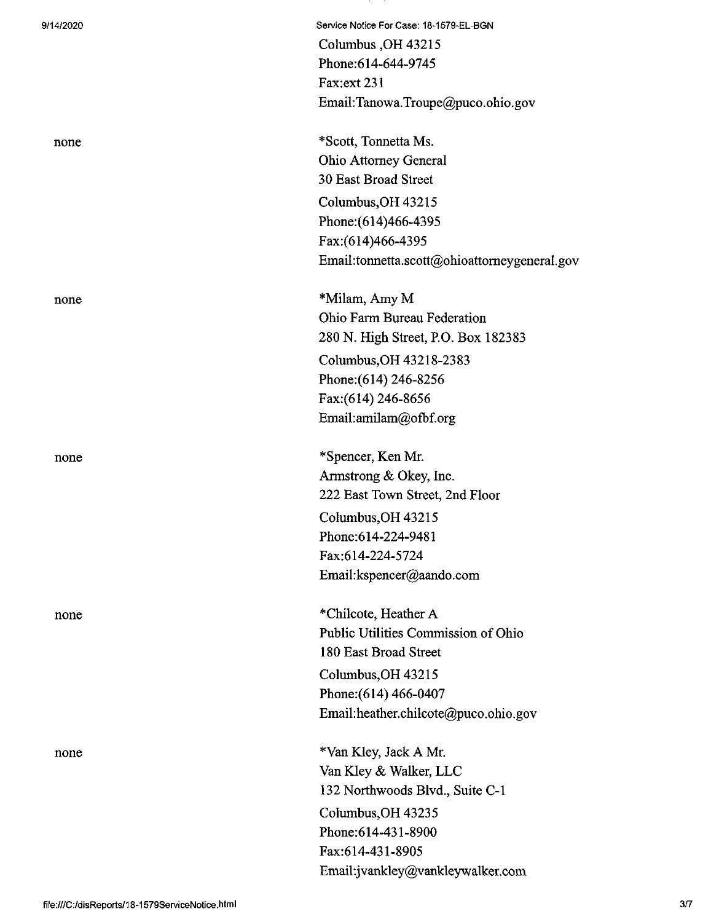| 9/14/2020 | Service Notice For Case: 18-1579-EL-BGN      |
|-----------|----------------------------------------------|
|           | Columbus, OH 43215                           |
|           | Phone: 614-644-9745                          |
|           | Fax:ext 231                                  |
|           | Email:Tanowa.Troupe@puco.ohio.gov            |
| none      | *Scott, Tonnetta Ms.                         |
|           | <b>Ohio Attorney General</b>                 |
|           | 30 East Broad Street                         |
|           | Columbus, OH 43215                           |
|           | Phone: (614)466-4395                         |
|           | Fax:(614)466-4395                            |
|           | Email:tonnetta.scott@ohioattorneygeneral.gov |
| none      | *Milam, Amy M                                |
|           | Ohio Farm Bureau Federation                  |
|           | 280 N. High Street, P.O. Box 182383          |
|           | Columbus, OH 43218-2383                      |
|           | Phone: (614) 246-8256                        |
|           | Fax:(614) 246-8656                           |
|           | Email:amilam@ofbf.org                        |
| none      | *Spencer, Ken Mr.                            |
|           | Armstrong & Okey, Inc.                       |
|           | 222 East Town Street, 2nd Floor              |
|           | Columbus, OH 43215                           |
|           | Phone: 614-224-9481                          |
|           | Fax:614-224-5724                             |
|           | Email:kspencer@aando.com                     |
| none      | *Chilcote, Heather A                         |
|           | Public Utilities Commission of Ohio          |
|           | 180 East Broad Street                        |
|           | Columbus, OH 43215                           |
|           | Phone: (614) 466-0407                        |
|           | Email:heather.chilcote@puco.ohio.gov         |
| none      | *Van Kley, Jack A Mr.                        |
|           | Van Kley & Walker, LLC                       |
|           | 132 Northwoods Blvd., Suite C-1              |
|           | Columbus, OH 43235                           |
|           | Phone: 614-431-8900                          |
|           | Fax:614-431-8905                             |
|           | Email:jvankley@vankleywalker.com             |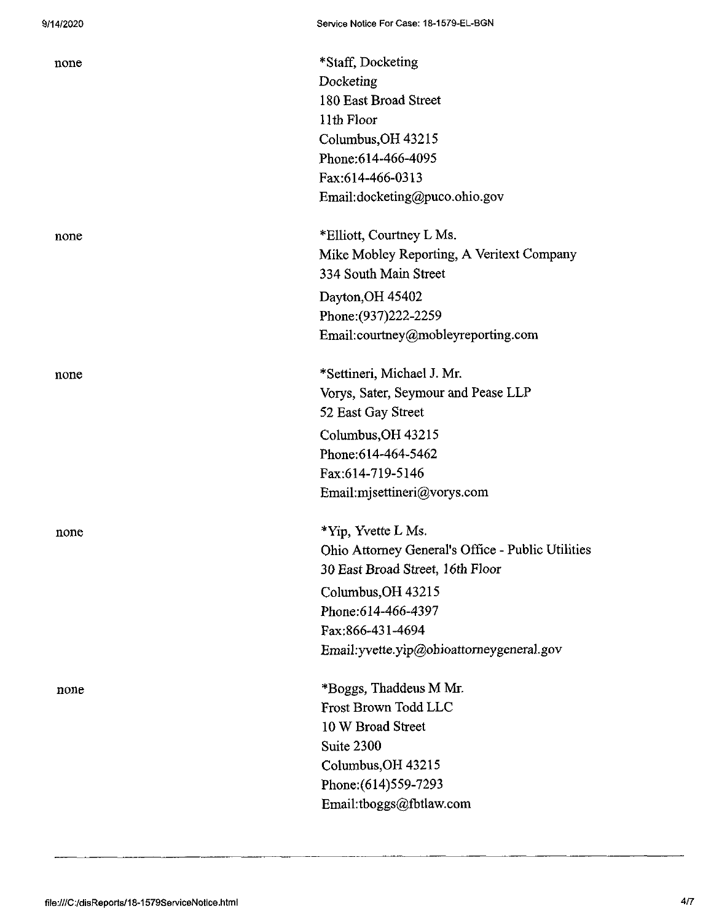| none | *Staff, Docketing                                 |
|------|---------------------------------------------------|
|      | Docketing                                         |
|      | 180 East Broad Street                             |
|      | 11th Floor                                        |
|      | Columbus, OH 43215                                |
|      | Phone: 614-466-4095                               |
|      | Fax:614-466-0313                                  |
|      | Email:docketing@puco.ohio.gov                     |
| none | *Elliott, Courtney L Ms.                          |
|      | Mike Mobley Reporting, A Veritext Company         |
|      | 334 South Main Street                             |
|      | Dayton, OH 45402                                  |
|      | Phone: (937) 222-2259                             |
|      | Email:courtney@mobleyreporting.com                |
| none | *Settineri, Michael J. Mr.                        |
|      | Vorys, Sater, Seymour and Pease LLP               |
|      | 52 East Gay Street                                |
|      | Columbus, OH 43215                                |
|      | Phone: 614-464-5462                               |
|      | Fax:614-719-5146                                  |
|      | Email:mjsettineri@vorys.com                       |
| none | *Yip, Yvette L Ms.                                |
|      | Ohio Attorney General's Office - Public Utilities |
|      | 30 East Broad Street, 16th Floor                  |
|      | Columbus, OH 43215                                |
|      | Phone: 614-466-4397                               |
|      | Fax:866-431-4694                                  |
|      | Email: yvette.yip@ohioattorneygeneral.gov         |
| none | *Boggs, Thaddeus M Mr.                            |
|      | Frost Brown Todd LLC                              |
|      | 10 W Broad Street                                 |
|      | Suite 2300                                        |
|      | Columbus, OH 43215                                |
|      | Phone: (614) 559-7293                             |
|      | Email:tboggs@fbtlaw.com                           |
|      |                                                   |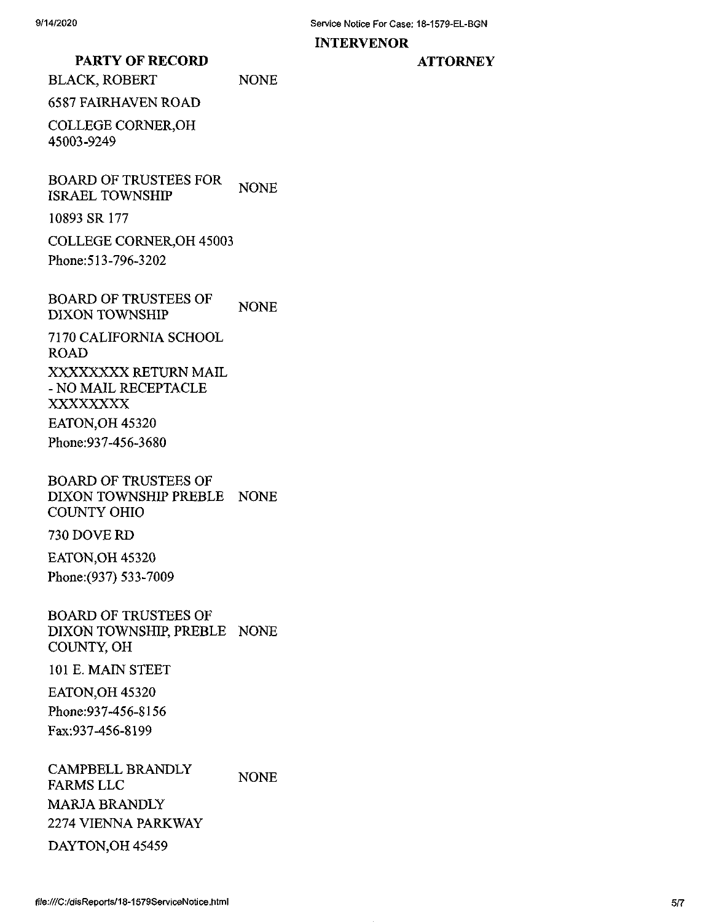#### **INTERVENOR**

## **PARTY OF RECORD**

BLACK, ROBERT NONE

6587 FAIRHAVEN ROAD

COLLEGE CORNER,OH 45003-9249

BOARD OF TRUSTEES FOR ISRAEL TOWNSHIP NONE

10893 SR 177

COLLEGE CORNER,OH 45003

Phone:513-796-3202

BOARD OF TRUSTEES OF DIXON TOWNSHIP NONE

7170 CALIFORNIA SCHOOL ROAD XXXXXXXX RETURN MAIL - NO MAIL RECEPTACLE XXXXXXXX EATON,OH 45320

Phone:937-456-3680

BOARD OF TRUSTEES OF DIXON TOWNSHIP PREBLE NONE COUNTY OHIO

730 DOVE RD

EATON,OH 45320 Phone:(937) 533-7009

BOARD OF TRUSTEES OF DIXON TOWNSHIP, PREBLE NONE COUNTY, OH

101 E. MAIN STEET

EATON,OH 45320

Phone:937-456-8156 Fax:937-456-8199

CAMPBELL BRANDLY FARMS LLC MARJA BRANDLY 2274 VIENNA PARKWAY DAYTON,OH 45459 **NONE**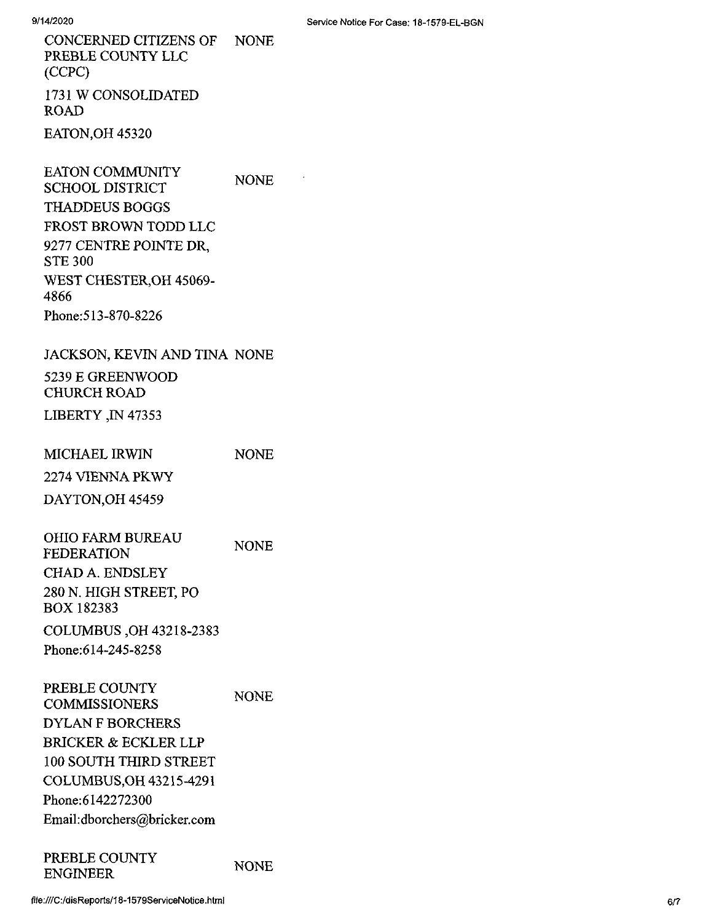CONCERNED CITIZENS OF NONE PREBLE COUNTY LLC (CCPC) 1731 W CONSOLIDATED ROAD

EATON,OH 45320

EATON COMMUNITY SCHOOL DISTRICT THADDEUS BOGGS FROST BROWN TODD LLC 9277 CENTRE POINTE DR, STE 300 WEST CHESTER,OH 45069- 4866 Phone:513-870-8226 NONE

### JACKSON, KEVIN AND TINA NONE

5239 E GREENWOOD CHURCH ROAD

LIBERTY ,IN 47353

| MICHAEL IRWIN    | <b>NONE</b> |
|------------------|-------------|
| 2274 VIENNA PKWY |             |
| DAYTON, OH 45459 |             |

OHIO FARM BUREAU FEDERATION CHAD A. ENDSLEY 280 N. HIGH STREET, PO BOX 182383 NONE

COLUMBUS ,OH 43218-2383 Phone:614-245-8258

PREBLE COUNTY COMMISSIONERS DYLAN F BORCHERS BRICKER & ECKLER LLP 100 SOUTH THIRD STREET COLUMBUS,OH 43215-4291 Phone:6142272300 Email:dborchers@bricker.com NONE

#### PREBLE COUNTY ENGINEER

NONE